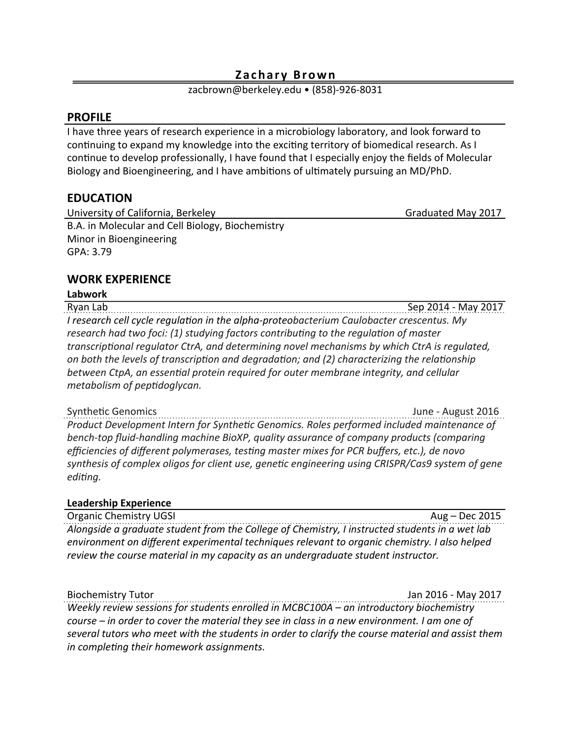#### **Zachary Brown**

zacbrown@berkeley.edu • (858)-926-8031

### **PROFILE**

I have three years of research experience in a microbiology laboratory, and look forward to continuing to expand my knowledge into the exciting territory of biomedical research. As I continue to develop professionally, I have found that I especially enjoy the fields of Molecular Biology and Bioengineering, and I have ambitions of ultimately pursuing an MD/PhD.

## **EDUCATION**

University of California, Berkeley **Business Community** California, Berkeley B.A. in Molecular and Cell Biology, Biochemistry Minor in Bioengineering GPA: 3.79

# **WORK EXPERIENCE**

**Labwork**

Ryan Lab Books are the contract of the contract of the contract of the Sep 2014 - May 2017 *I* research cell cycle regulation in the alpha-proteobacterium Caulobacter crescentus. My *research had two foci: (1) studying factors contributing to the regulation of master transcriptional regulator CtrA, and determining novel mechanisms by which CtrA is regulated,* on both the levels of transcription and degradation; and (2) characterizing the relationship between CtpA, an essential protein required for outer membrane integrity, and cellular *metabolism of peptidoglycan.* 

Synthetic Genomics **Synthetic Genomics Synthetic Genomics 1016** Product Development Intern for Synthetic Genomics. Roles performed included maintenance of *bench-top fluid-handling machine BioXP, quality assurance of company products (comparing efficiencies of different polymerases, testing master mixes for PCR buffers, etc.), de novo* synthesis of complex oligos for client use, genetic engineering using CRISPR/Cas9 system of gene *editing.* 

#### **Leadership Experience**

Organic Chemistry UGSI Aug – Dec 2015 *Alongside a graduate student from the College of Chemistry, I instructed students in a wet lab environment on different experimental techniques relevant to organic chemistry. I also helped review the course material in my capacity as an undergraduate student instructor.* 

Biochemistry Tutor **Manual Community** Tutor **and Community** *COMMUNITY Biochemistry Tutor <b>Manual* 3017

*Weekly review sessions for students enrolled in MCBC100A* – an introductory biochemistry *course* – in order to cover the material they see in class in a new environment. I am one of several tutors who meet with the students in order to clarify the course material and assist them *in completing their homework assignments.*